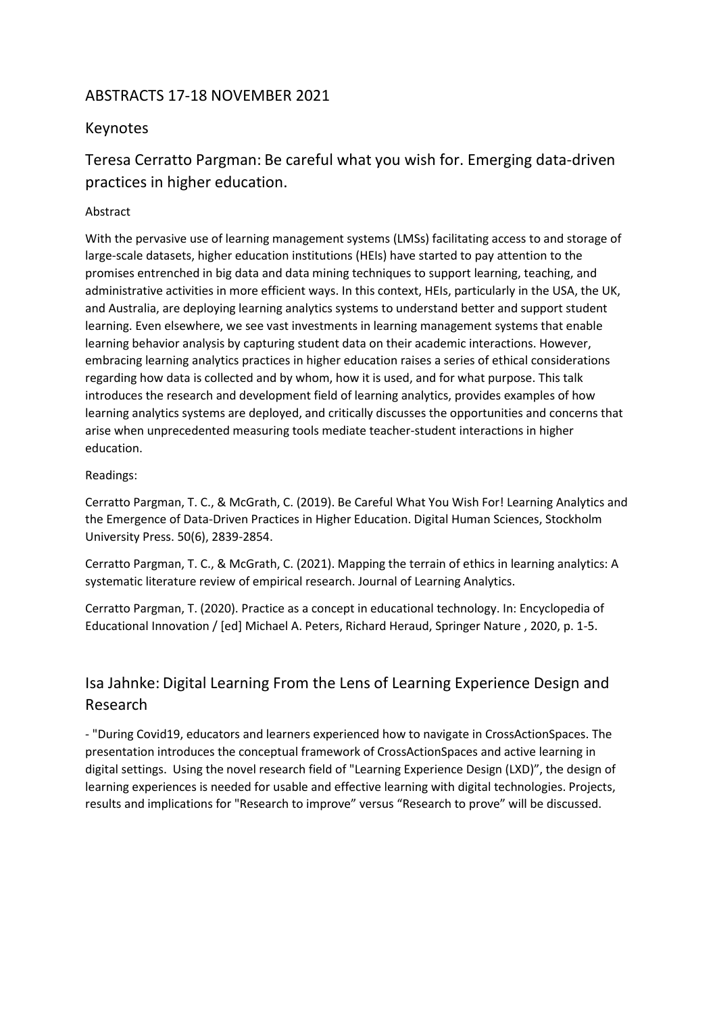### ABSTRACTS 17-18 NOVEMBER 2021

### Keynotes

### Teresa Cerratto Pargman: Be careful what you wish for. Emerging data-driven practices in higher education.

#### Abstract

With the pervasive use of learning management systems (LMSs) facilitating access to and storage of large-scale datasets, higher education institutions (HEIs) have started to pay attention to the promises entrenched in big data and data mining techniques to support learning, teaching, and administrative activities in more efficient ways. In this context, HEIs, particularly in the USA, the UK, and Australia, are deploying learning analytics systems to understand better and support student learning. Even elsewhere, we see vast investments in learning management systems that enable learning behavior analysis by capturing student data on their academic interactions. However, embracing learning analytics practices in higher education raises a series of ethical considerations regarding how data is collected and by whom, how it is used, and for what purpose. This talk introduces the research and development field of learning analytics, provides examples of how learning analytics systems are deployed, and critically discusses the opportunities and concerns that arise when unprecedented measuring tools mediate teacher-student interactions in higher education.

#### Readings:

Cerratto Pargman, T. C., & McGrath, C. (2019). Be Careful What You Wish For! Learning Analytics and the Emergence of Data-Driven Practices in Higher Education. Digital Human Sciences, Stockholm University Press. 50(6), 2839-2854.

Cerratto Pargman, T. C., & McGrath, C. (2021). Mapping the terrain of ethics in learning analytics: A systematic literature review of empirical research. Journal of Learning Analytics.

Cerratto Pargman, T. (2020). Practice as a concept in educational technology. In: Encyclopedia of Educational Innovation / [ed] Michael A. Peters, Richard Heraud, Springer Nature , 2020, p. 1-5.

## Isa Jahnke: Digital Learning From the Lens of Learning Experience Design and Research

- "During Covid19, educators and learners experienced how to navigate in CrossActionSpaces. The presentation introduces the conceptual framework of CrossActionSpaces and active learning in digital settings. Using the novel research field of "Learning Experience Design (LXD)", the design of learning experiences is needed for usable and effective learning with digital technologies. Projects, results and implications for "Research to improve" versus "Research to prove" will be discussed.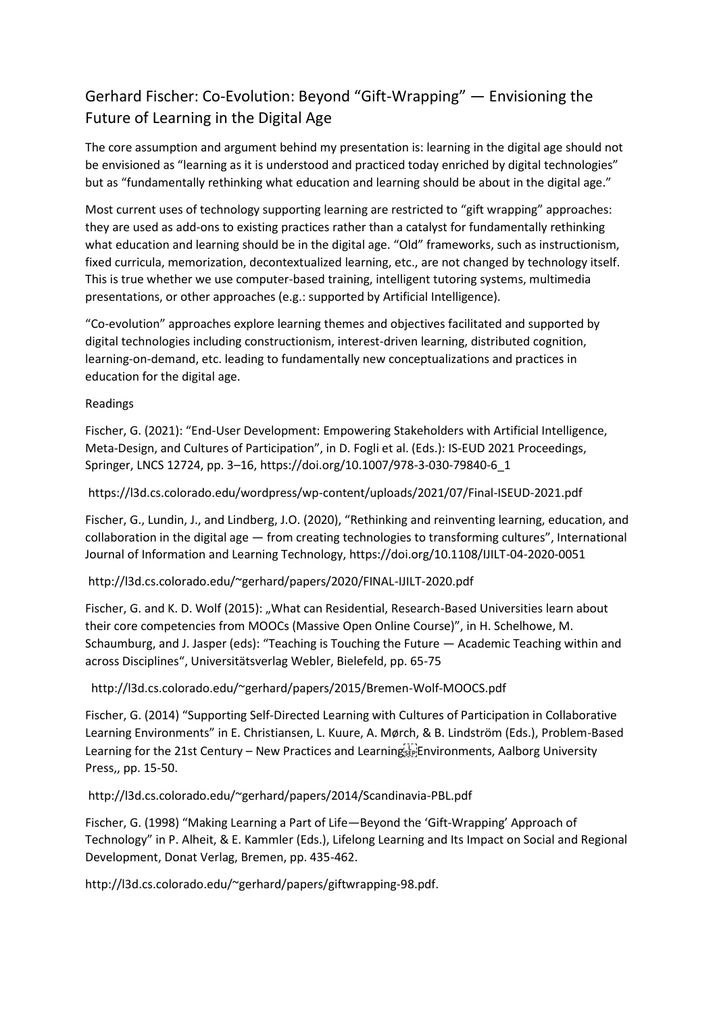# Gerhard Fischer: Co-Evolution: Beyond "Gift-Wrapping" — Envisioning the Future of Learning in the Digital Age

The core assumption and argument behind my presentation is: learning in the digital age should not be envisioned as "learning as it is understood and practiced today enriched by digital technologies" but as "fundamentally rethinking what education and learning should be about in the digital age."

Most current uses of technology supporting learning are restricted to "gift wrapping" approaches: they are used as add-ons to existing practices rather than a catalyst for fundamentally rethinking what education and learning should be in the digital age. "Old" frameworks, such as instructionism, fixed curricula, memorization, decontextualized learning, etc., are not changed by technology itself. This is true whether we use computer-based training, intelligent tutoring systems, multimedia presentations, or other approaches (e.g.: supported by Artificial Intelligence).

"Co-evolution" approaches explore learning themes and objectives facilitated and supported by digital technologies including constructionism, interest-driven learning, distributed cognition, learning-on-demand, etc. leading to fundamentally new conceptualizations and practices in education for the digital age.

#### Readings

Fischer, G. (2021): "End-User Development: Empowering Stakeholders with Artificial Intelligence, Meta-Design, and Cultures of Participation", in D. Fogli et al. (Eds.): IS-EUD 2021 Proceedings, Springer, LNCS 12724, pp. 3–16, https://doi.org/10.1007/978-3-030-79840-6\_1

#### https://l3d.cs.colorado.edu/wordpress/wp-content/uploads/2021/07/Final-ISEUD-2021.pdf

Fischer, G., Lundin, J., and Lindberg, J.O. (2020), "Rethinking and reinventing learning, education, and collaboration in the digital age — from creating technologies to transforming cultures", International Journal of Information and Learning Technology, https://doi.org/10.1108/IJILT-04-2020-0051

#### http://l3d.cs.colorado.edu/~gerhard/papers/2020/FINAL-IJILT-2020.pdf

Fischer, G. and K. D. Wolf (2015): "What can Residential, Research-Based Universities learn about their core competencies from MOOCs (Massive Open Online Course)", in H. Schelhowe, M. Schaumburg, and J. Jasper (eds): "Teaching is Touching the Future — Academic Teaching within and across Disciplines", Universitätsverlag Webler, Bielefeld, pp. 65-75

http://l3d.cs.colorado.edu/~gerhard/papers/2015/Bremen-Wolf-MOOCS.pdf

Fischer, G. (2014) "Supporting Self-Directed Learning with Cultures of Participation in Collaborative Learning Environments" in E. Christiansen, L. Kuure, A. Mørch, & B. Lindström (Eds.), Problem-Based Learning for the 21st Century – New Practices and LearningsEp Environments, Aalborg University Press,, pp. 15-50.

#### http://l3d.cs.colorado.edu/~gerhard/papers/2014/Scandinavia-PBL.pdf

Fischer, G. (1998) "Making Learning a Part of Life—Beyond the 'Gift-Wrapping' Approach of Technology" in P. Alheit, & E. Kammler (Eds.), Lifelong Learning and Its Impact on Social and Regional Development, Donat Verlag, Bremen, pp. 435-462.

http://l3d.cs.colorado.edu/~gerhard/papers/giftwrapping-98.pdf.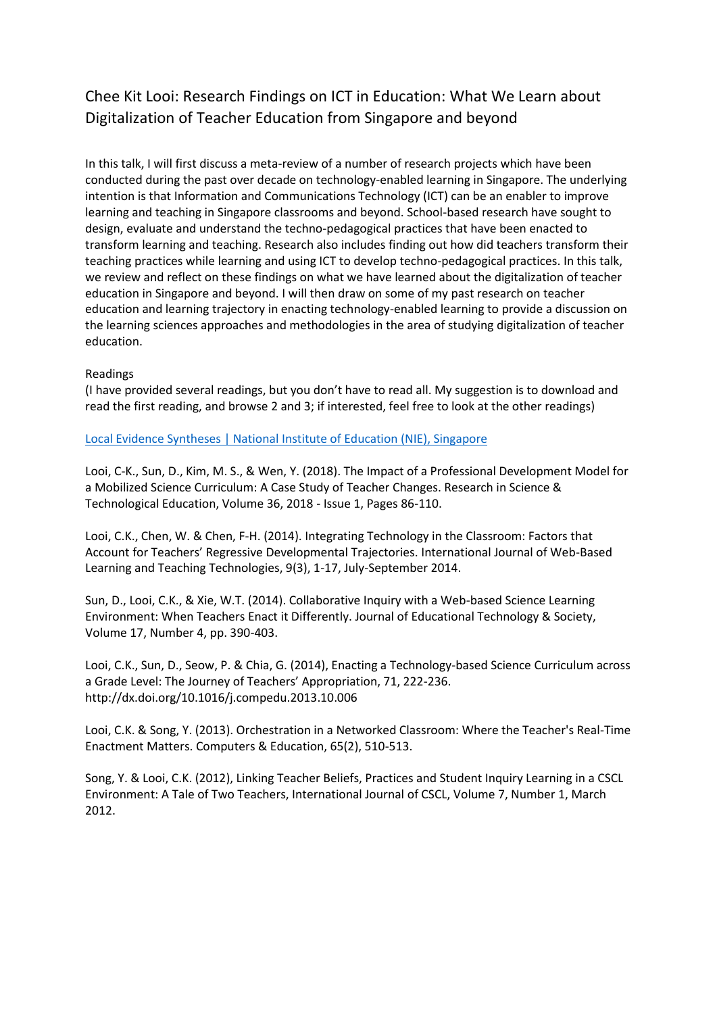# Chee Kit Looi: Research Findings on ICT in Education: What We Learn about Digitalization of Teacher Education from Singapore and beyond

In this talk, I will first discuss a meta-review of a number of research projects which have been conducted during the past over decade on technology-enabled learning in Singapore. The underlying intention is that Information and Communications Technology (ICT) can be an enabler to improve learning and teaching in Singapore classrooms and beyond. School-based research have sought to design, evaluate and understand the techno-pedagogical practices that have been enacted to transform learning and teaching. Research also includes finding out how did teachers transform their teaching practices while learning and using ICT to develop techno-pedagogical practices. In this talk, we review and reflect on these findings on what we have learned about the digitalization of teacher education in Singapore and beyond. I will then draw on some of my past research on teacher education and learning trajectory in enacting technology-enabled learning to provide a discussion on the learning sciences approaches and methodologies in the area of studying digitalization of teacher education.

#### Readings

(I have provided several readings, but you don't have to read all. My suggestion is to download and read the first reading, and browse 2 and 3; if interested, feel free to look at the other readings)

[Local Evidence Syntheses | National Institute of Education \(NIE\), Singapore](https://nie.edu.sg/research/publication/local-evidence-syntheses)

Looi, C-K., Sun, D., Kim, M. S., & Wen, Y. (2018). The Impact of a Professional Development Model for a Mobilized Science Curriculum: A Case Study of Teacher Changes. Research in Science & Technological Education, Volume 36, 2018 - Issue 1, Pages 86-110.

Looi, C.K., Chen, W. & Chen, F-H. (2014). Integrating Technology in the Classroom: Factors that Account for Teachers' Regressive Developmental Trajectories. International Journal of Web-Based Learning and Teaching Technologies, 9(3), 1-17, July-September 2014.

Sun, D., Looi, C.K., & Xie, W.T. (2014). Collaborative Inquiry with a Web-based Science Learning Environment: When Teachers Enact it Differently. Journal of Educational Technology & Society, Volume 17, Number 4, pp. 390-403.

Looi, C.K., Sun, D., Seow, P. & Chia, G. (2014), Enacting a Technology-based Science Curriculum across a Grade Level: The Journey of Teachers' Appropriation, 71, 222-236. http://dx.doi.org/10.1016/j.compedu.2013.10.006

Looi, C.K. & Song, Y. (2013). Orchestration in a Networked Classroom: Where the Teacher's Real-Time Enactment Matters. Computers & Education, 65(2), 510-513.

Song, Y. & Looi, C.K. (2012), Linking Teacher Beliefs, Practices and Student Inquiry Learning in a CSCL Environment: A Tale of Two Teachers, International Journal of CSCL, Volume 7, Number 1, March 2012.